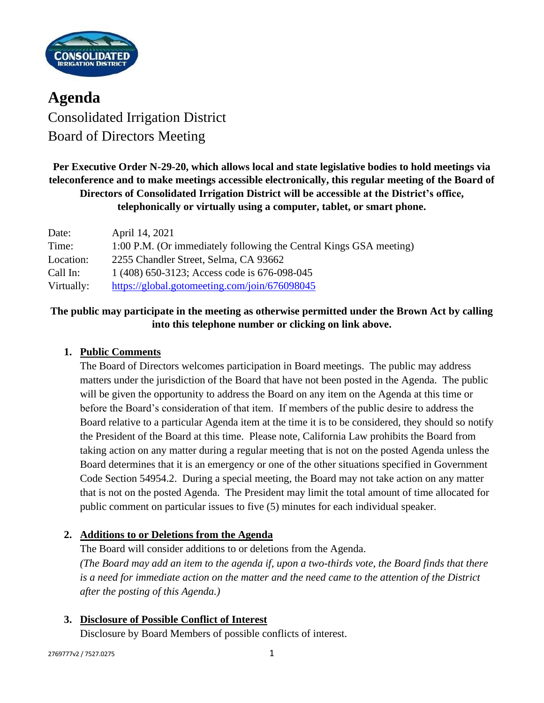

**Agenda** Consolidated Irrigation District Board of Directors Meeting

**Per Executive Order N-29-20, which allows local and state legislative bodies to hold meetings via teleconference and to make meetings accessible electronically, this regular meeting of the Board of Directors of Consolidated Irrigation District will be accessible at the District's office, telephonically or virtually using a computer, tablet, or smart phone.**

| Date:      | April 14, 2021                                                     |
|------------|--------------------------------------------------------------------|
| Time:      | 1:00 P.M. (Or immediately following the Central Kings GSA meeting) |
| Location:  | 2255 Chandler Street, Selma, CA 93662                              |
| Call In:   | 1 (408) 650-3123; Access code is 676-098-045                       |
| Virtually: | https://global.gotomeeting.com/join/676098045                      |

## **The public may participate in the meeting as otherwise permitted under the Brown Act by calling into this telephone number or clicking on link above.**

### **1. Public Comments**

The Board of Directors welcomes participation in Board meetings. The public may address matters under the jurisdiction of the Board that have not been posted in the Agenda. The public will be given the opportunity to address the Board on any item on the Agenda at this time or before the Board's consideration of that item. If members of the public desire to address the Board relative to a particular Agenda item at the time it is to be considered, they should so notify the President of the Board at this time. Please note, California Law prohibits the Board from taking action on any matter during a regular meeting that is not on the posted Agenda unless the Board determines that it is an emergency or one of the other situations specified in Government Code Section 54954.2. During a special meeting, the Board may not take action on any matter that is not on the posted Agenda. The President may limit the total amount of time allocated for public comment on particular issues to five (5) minutes for each individual speaker.

### **2. Additions to or Deletions from the Agenda**

The Board will consider additions to or deletions from the Agenda. *(The Board may add an item to the agenda if, upon a two-thirds vote, the Board finds that there is a need for immediate action on the matter and the need came to the attention of the District after the posting of this Agenda.)*

### **3. Disclosure of Possible Conflict of Interest**

Disclosure by Board Members of possible conflicts of interest.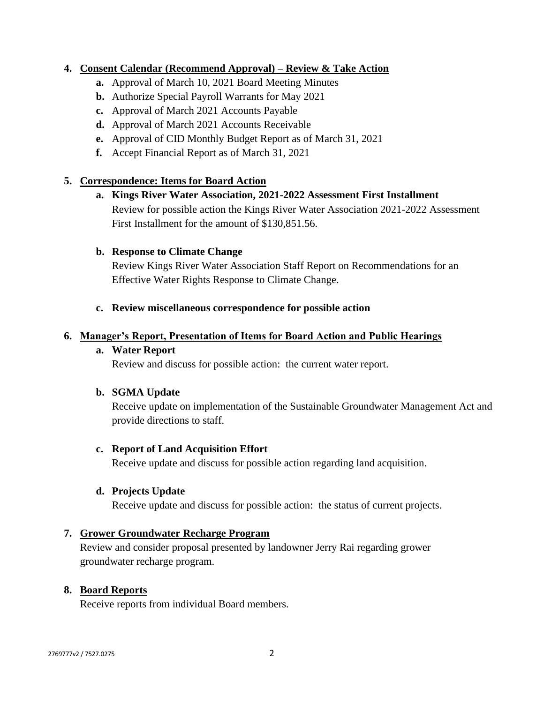### **4. Consent Calendar (Recommend Approval) – Review & Take Action**

- **a.** Approval of March 10, 2021 Board Meeting Minutes
- **b.** Authorize Special Payroll Warrants for May 2021
- **c.** Approval of March 2021 Accounts Payable
- **d.** Approval of March 2021 Accounts Receivable
- **e.** Approval of CID Monthly Budget Report as of March 31, 2021
- **f.** Accept Financial Report as of March 31, 2021

### **5. Correspondence: Items for Board Action**

**a. Kings River Water Association, 2021-2022 Assessment First Installment** Review for possible action the Kings River Water Association 2021-2022 Assessment First Installment for the amount of \$130,851.56.

#### **b. Response to Climate Change**

Review Kings River Water Association Staff Report on Recommendations for an Effective Water Rights Response to Climate Change.

#### **c. Review miscellaneous correspondence for possible action**

#### **6. Manager's Report, Presentation of Items for Board Action and Public Hearings**

#### **a. Water Report**

Review and discuss for possible action: the current water report.

#### **b. SGMA Update**

Receive update on implementation of the Sustainable Groundwater Management Act and provide directions to staff.

#### **c. Report of Land Acquisition Effort**

Receive update and discuss for possible action regarding land acquisition.

#### **d. Projects Update**

Receive update and discuss for possible action: the status of current projects.

#### **7. Grower Groundwater Recharge Program**

Review and consider proposal presented by landowner Jerry Rai regarding grower groundwater recharge program.

#### **8. Board Reports**

Receive reports from individual Board members.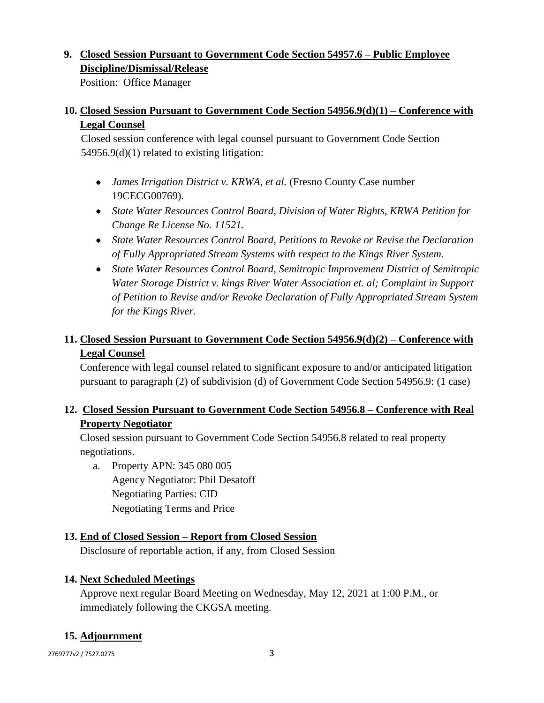# **9. Closed Session Pursuant to Government Code Section 54957.6 – Public Employee Discipline/Dismissal/Release**

Position: Office Manager

## **10. Closed Session Pursuant to Government Code Section 54956.9(d)(1) – Conference with Legal Counsel**

Closed session conference with legal counsel pursuant to Government Code Section 54956.9(d)(1) related to existing litigation:

- *James Irrigation District v. KRWA, et al.* (Fresno County Case number 19CECG00769).
- *State Water Resources Control Board, Division of Water Rights, KRWA Petition for Change Re License No. 11521.*
- *State Water Resources Control Board, Petitions to Revoke or Revise the Declaration of Fully Appropriated Stream Systems with respect to the Kings River System.*
- *State Water Resources Control Board, Semitropic Improvement District of Semitropic Water Storage District v. kings River Water Association et. al; Complaint in Support of Petition to Revise and/or Revoke Declaration of Fully Appropriated Stream System for the Kings River.*

# **11. Closed Session Pursuant to Government Code Section 54956.9(d)(2) – Conference with Legal Counsel**

Conference with legal counsel related to significant exposure to and/or anticipated litigation pursuant to paragraph (2) of subdivision (d) of Government Code Section 54956.9: (1 case)

# **12. Closed Session Pursuant to Government Code Section 54956.8 – Conference with Real Property Negotiator**

Closed session pursuant to Government Code Section 54956.8 related to real property negotiations.

a. Property APN: 345 080 005 Agency Negotiator: Phil Desatoff Negotiating Parties: CID Negotiating Terms and Price

## **13. End of Closed Session – Report from Closed Session**

Disclosure of reportable action, if any, from Closed Session

# **14. Next Scheduled Meetings**

Approve next regular Board Meeting on Wednesday, May 12, 2021 at 1:00 P.M., or immediately following the CKGSA meeting.

# **15. Adjournment**

2769777v2 / 7527.0275 3